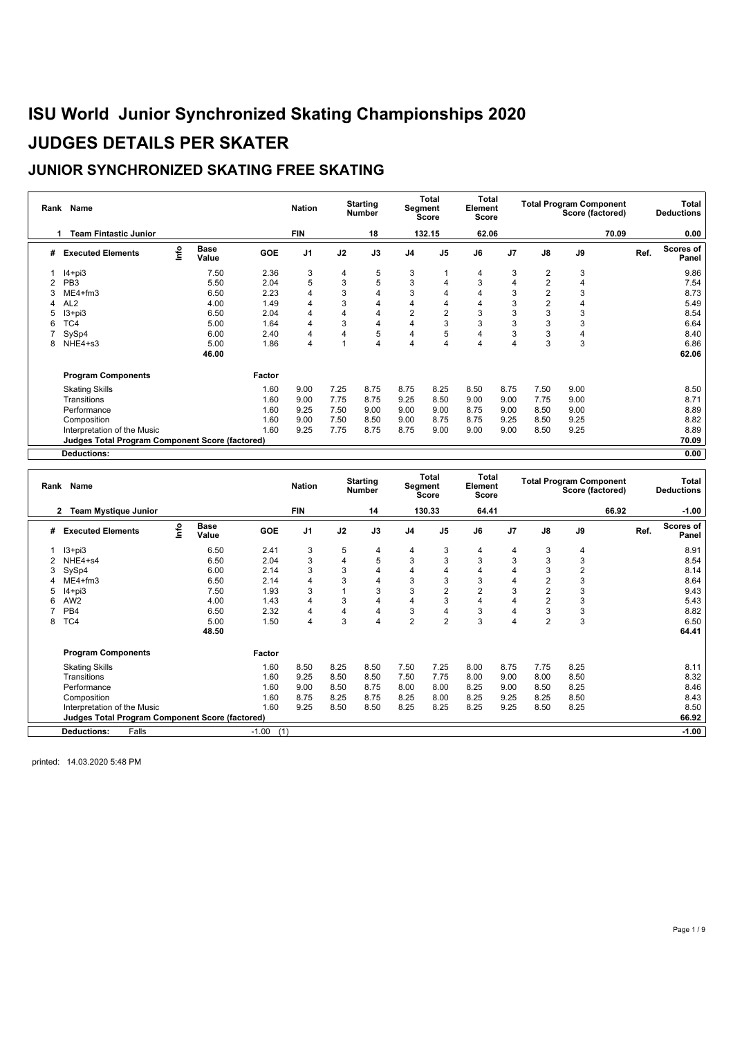#### **JUNIOR SYNCHRONIZED SKATING FREE SKATING**

| Rank | Name                                                   |      |                      |            | <b>Nation</b>  |      | <b>Starting</b><br><b>Number</b> | Segment        | Total<br>Score | Total<br>Element<br>Score |      |                | <b>Total Program Component</b><br>Score (factored) |       |      | Total<br><b>Deductions</b> |
|------|--------------------------------------------------------|------|----------------------|------------|----------------|------|----------------------------------|----------------|----------------|---------------------------|------|----------------|----------------------------------------------------|-------|------|----------------------------|
|      | <b>Team Fintastic Junior</b>                           |      |                      |            | <b>FIN</b>     |      | 18                               |                | 132.15         | 62.06                     |      |                |                                                    | 70.09 |      | 0.00                       |
| #    | <b>Executed Elements</b>                               | ١nf٥ | <b>Base</b><br>Value | <b>GOE</b> | J <sub>1</sub> | J2   | J3                               | J <sub>4</sub> | J <sub>5</sub> | J6                        | J7   | J8             | J9                                                 |       | Ref. | <b>Scores of</b><br>Panel  |
|      | $I4 + pi3$                                             |      | 7.50                 | 2.36       | 3              | 4    | 5                                | 3              |                | 4                         | 3    | 2              | 3                                                  |       |      | 9.86                       |
|      | PB <sub>3</sub>                                        |      | 5.50                 | 2.04       | 5              | 3    | 5                                | 3              | 4              | 3                         | 4    | $\overline{2}$ | 4                                                  |       |      | 7.54                       |
|      | $ME4 + fm3$                                            |      | 6.50                 | 2.23       | 4              | 3    | 4                                | 3              | 4              | 4                         | 3    | $\overline{2}$ | 3                                                  |       |      | 8.73                       |
|      | AL <sub>2</sub>                                        |      | 4.00                 | 1.49       |                | 3    | 4                                | 4              | 4              | 4                         | 3    | $\overline{2}$ | 4                                                  |       |      | 5.49                       |
| 5    | $13 + pi3$                                             |      | 6.50                 | 2.04       | 4              |      | 4                                | $\overline{2}$ | $\overline{2}$ | 3                         | 3    | 3              | 3                                                  |       |      | 8.54                       |
| 6    | TC4                                                    |      | 5.00                 | 1.64       | 4              | 3    | 4                                | 4              | 3              | 3                         | 3    | 3              | 3                                                  |       |      | 6.64                       |
|      | SySp4                                                  |      | 6.00                 | 2.40       | 4              |      | 5                                | 4              | 5              | 4                         | 3    | 3              | 4                                                  |       |      | 8.40                       |
| 8    | NHE4+s3                                                |      | 5.00                 | 1.86       | 4              |      | 4                                | 4              | 4              | 4                         | 4    | 3              | 3                                                  |       |      | 6.86                       |
|      |                                                        |      | 46.00                |            |                |      |                                  |                |                |                           |      |                |                                                    |       |      | 62.06                      |
|      | <b>Program Components</b>                              |      |                      | Factor     |                |      |                                  |                |                |                           |      |                |                                                    |       |      |                            |
|      | <b>Skating Skills</b>                                  |      |                      | 1.60       | 9.00           | 7.25 | 8.75                             | 8.75           | 8.25           | 8.50                      | 8.75 | 7.50           | 9.00                                               |       |      | 8.50                       |
|      | Transitions                                            |      |                      | 1.60       | 9.00           | 7.75 | 8.75                             | 9.25           | 8.50           | 9.00                      | 9.00 | 7.75           | 9.00                                               |       |      | 8.71                       |
|      | Performance                                            |      |                      | 1.60       | 9.25           | 7.50 | 9.00                             | 9.00           | 9.00           | 8.75                      | 9.00 | 8.50           | 9.00                                               |       |      | 8.89                       |
|      | Composition                                            |      |                      | 1.60       | 9.00           | 7.50 | 8.50                             | 9.00           | 8.75           | 8.75                      | 9.25 | 8.50           | 9.25                                               |       |      | 8.82                       |
|      | Interpretation of the Music                            |      |                      | 1.60       | 9.25           | 7.75 | 8.75                             | 8.75           | 9.00           | 9.00                      | 9.00 | 8.50           | 9.25                                               |       |      | 8.89                       |
|      | <b>Judges Total Program Component Score (factored)</b> |      |                      |            |                |      |                                  |                |                |                           |      |                |                                                    |       |      | 70.09                      |
|      | <b>Deductions:</b>                                     |      |                      |            |                |      |                                  |                |                |                           |      |                |                                                    |       |      | 0.00                       |

**Rank Name Nation Nation Nation Number Total Segment Score Total Element Score Total Program Component Score (factored) Total Deductions 2 Team Mystique Junior FIN 14 130.33 64.41 66.92 -1.00 # Executed Elements Info Base Value GOE J1 J2 J3 J4 J5 J6 J7 J8 J9 Ref. Scores of Panel** 1 I3+pi3 6.50 2.41 3 5 4 4 3 4 4 3 4 8.91 2 NHE4+s4 6.50 2.04 3 4 5 3 3 3 3 3 3 8.54 3 SySp4 6.00 2.14 3 3 4 4 4 4 4 3 2 8.14 4 ME4+fm3 6.50 2.14 4 3 4 3 3 3 4 2 3 8.64 5 I4+pi3 7.50 1.93 3 1 3 3 2 2 3 2 3 9.43 6 AW2 4.00 1.43 4 3 4 4 3 4 4 2 3 5.43 7 PB4 6.50 2.32 4 4 4 3 4 3 4 3 3 8.82 8 TC4 5.00 1.50 4 3 4 2 2 3 4 2 3 6.50 **48.50 64.41 Program Components Factor** Skating Skills 1.60 8.50 8.25 8.50 7.50 7.25 8.00 8.75 7.75 8.25 8.11 Transitions 1.60 9.25 8.50 8.50 7.50 7.75 8.00 9.00 8.00 8.50 8.32 Performance 1.60 9.00 8.50 8.75 8.00 8.00 8.25 9.00 8.50 8.25 8.46 Composition 1.60 8.75 8.25 8.75 8.25 8.00 8.25 9.25 8.25 8.50 8.43 Interpretation of the Music 1.60 9.25 8.50 8.50 8.25 8.25 8.25 8.25 8.25 8.25 8.25 8.50 8.25 8.50<br> **Judges Total Program Component Score (factored) Judges Total Program Component Score (factored) 66.92 Deductions:** Falls -1.00 (1) **-1.00**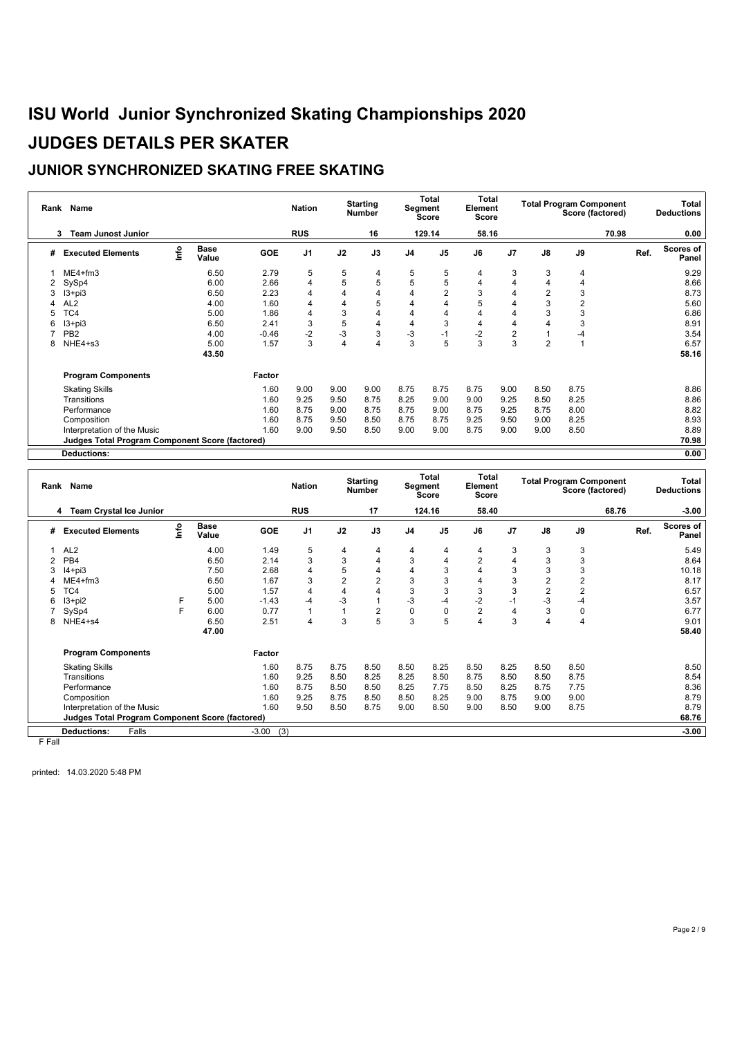### **JUNIOR SYNCHRONIZED SKATING FREE SKATING**

|   | Rank Name                                              |      |                      |            | <b>Nation</b>  |      | <b>Starting</b><br><b>Number</b> | Segment        | Total<br>Score | Total<br>Element<br>Score |                |                | <b>Total Program Component</b><br>Score (factored) |       | Total<br><b>Deductions</b> |
|---|--------------------------------------------------------|------|----------------------|------------|----------------|------|----------------------------------|----------------|----------------|---------------------------|----------------|----------------|----------------------------------------------------|-------|----------------------------|
|   | <b>Team Junost Junior</b><br>3                         |      |                      |            | <b>RUS</b>     |      | 16                               |                | 129.14         | 58.16                     |                |                |                                                    | 70.98 | 0.00                       |
| # | <b>Executed Elements</b>                               | lnfo | <b>Base</b><br>Value | <b>GOE</b> | J <sub>1</sub> | J2   | J3                               | J <sub>4</sub> | J <sub>5</sub> | J6                        | J7             | J8             | J9                                                 | Ref.  | Scores of<br>Panel         |
|   | $ME4 + fm3$                                            |      | 6.50                 | 2.79       | 5              | 5    | 4                                | 5              | 5              | 4                         | 3              | 3              | 4                                                  |       | 9.29                       |
| 2 | SySp4                                                  |      | 6.00                 | 2.66       | $\overline{4}$ | 5    | 5                                | 5              | 5              | 4                         | 4              | 4              | 4                                                  |       | 8.66                       |
| 3 | $13 + pi3$                                             |      | 6.50                 | 2.23       | 4              | 4    | 4                                | 4              | $\overline{2}$ | 3                         | 4              | $\overline{2}$ | 3                                                  |       | 8.73                       |
| Δ | AL <sub>2</sub>                                        |      | 4.00                 | 1.60       | 4              | 4    | 5                                | 4              | 4              | 5                         | 4              | 3              | $\overline{2}$                                     |       | 5.60                       |
| 5 | TC4                                                    |      | 5.00                 | 1.86       | 4              | 3    |                                  | 4              | 4              | 4                         | 4              | 3              | 3                                                  |       | 6.86                       |
| 6 | $13 + pi3$                                             |      | 6.50                 | 2.41       | 3              | 5    | 4                                | 4              | 3              | 4                         | 4              | 4              | 3                                                  |       | 8.91                       |
|   | PB <sub>2</sub>                                        |      | 4.00                 | $-0.46$    | $-2$           | $-3$ | 3                                | $-3$           | $-1$           | $-2$                      | $\overline{2}$ |                | $-4$                                               |       | 3.54                       |
| 8 | NHE4+s3                                                |      | 5.00                 | 1.57       | 3              | 4    | 4                                | 3              | 5              | 3                         | 3              | $\overline{2}$ |                                                    |       | 6.57                       |
|   |                                                        |      | 43.50                |            |                |      |                                  |                |                |                           |                |                |                                                    |       | 58.16                      |
|   | <b>Program Components</b>                              |      |                      | Factor     |                |      |                                  |                |                |                           |                |                |                                                    |       |                            |
|   | <b>Skating Skills</b>                                  |      |                      | 1.60       | 9.00           | 9.00 | 9.00                             | 8.75           | 8.75           | 8.75                      | 9.00           | 8.50           | 8.75                                               |       | 8.86                       |
|   | Transitions                                            |      |                      | 1.60       | 9.25           | 9.50 | 8.75                             | 8.25           | 9.00           | 9.00                      | 9.25           | 8.50           | 8.25                                               |       | 8.86                       |
|   | Performance                                            |      |                      | 1.60       | 8.75           | 9.00 | 8.75                             | 8.75           | 9.00           | 8.75                      | 9.25           | 8.75           | 8.00                                               |       | 8.82                       |
|   | Composition                                            |      |                      | 1.60       | 8.75           | 9.50 | 8.50                             | 8.75           | 8.75           | 9.25                      | 9.50           | 9.00           | 8.25                                               |       | 8.93                       |
|   | Interpretation of the Music                            |      |                      | 1.60       | 9.00           | 9.50 | 8.50                             | 9.00           | 9.00           | 8.75                      | 9.00           | 9.00           | 8.50                                               |       | 8.89                       |
|   | <b>Judges Total Program Component Score (factored)</b> |      |                      |            |                |      |                                  |                |                |                           |                |                |                                                    |       | 70.98                      |
|   | <b>Deductions:</b>                                     |      |                      |            |                |      |                                  |                |                |                           |                |                |                                                    |       | 0.00                       |

| Rank   | Name                                            |      |                      |                | <b>Nation</b>  |      | <b>Starting</b><br>Number | Segment        | Total<br>Score | Total<br>Element<br>Score |      |      | <b>Total Program Component</b><br>Score (factored) |       |      | Total<br><b>Deductions</b> |
|--------|-------------------------------------------------|------|----------------------|----------------|----------------|------|---------------------------|----------------|----------------|---------------------------|------|------|----------------------------------------------------|-------|------|----------------------------|
|        | <b>Team Crystal Ice Junior</b><br>4             |      |                      |                | <b>RUS</b>     |      | 17                        |                | 124.16         | 58.40                     |      |      |                                                    | 68.76 |      | $-3.00$                    |
| #      | <b>Executed Elements</b>                        | ١nf٥ | <b>Base</b><br>Value | <b>GOE</b>     | J <sub>1</sub> | J2   | J3                        | J <sub>4</sub> | J <sub>5</sub> | J6                        | J7   | J8   | J9                                                 |       | Ref. | Scores of<br>Panel         |
|        | AL <sub>2</sub>                                 |      | 4.00                 | 1.49           | 5              | 4    | 4                         | 4              | 4              | 4                         | 3    | 3    | 3                                                  |       |      | 5.49                       |
| 2      | PB4                                             |      | 6.50                 | 2.14           | 3              | 3    | 4                         | 3              | 4              | $\overline{2}$            | 4    | 3    | 3                                                  |       |      | 8.64                       |
| 3      | $I4 + pi3$                                      |      | 7.50                 | 2.68           | 4              | 5    | 4                         | 4              | 3              | 4                         | 3    | 3    | 3                                                  |       |      | 10.18                      |
|        | ME4+fm3                                         |      | 6.50                 | 1.67           | 3              | 2    | $\overline{2}$            | 3              | 3              | 4                         | 3    | 2    | 2                                                  |       |      | 8.17                       |
| 5      | TC4                                             |      | 5.00                 | 1.57           | 4              | 4    | 4                         | 3              | 3              | 3                         | 3    | 2    | $\overline{c}$                                     |       |      | 6.57                       |
| 6      | $13+pi2$                                        | F    | 5.00                 | $-1.43$        | -4             | $-3$ |                           | $-3$           | $-4$           | $-2$                      | $-1$ | $-3$ | $-4$                                               |       |      | 3.57                       |
|        | SySp4                                           | F    | 6.00                 | 0.77           |                |      | $\overline{2}$            | $\pmb{0}$      | $\mathbf 0$    | $\overline{2}$            | 4    | 3    | $\mathbf 0$                                        |       |      | 6.77                       |
| 8      | NHE4+s4                                         |      | 6.50                 | 2.51           | 4              | 3    | 5                         | 3              | 5              | 4                         | 3    | 4    | 4                                                  |       |      | 9.01                       |
|        |                                                 |      | 47.00                |                |                |      |                           |                |                |                           |      |      |                                                    |       |      | 58.40                      |
|        | <b>Program Components</b>                       |      |                      | Factor         |                |      |                           |                |                |                           |      |      |                                                    |       |      |                            |
|        | <b>Skating Skills</b>                           |      |                      | 1.60           | 8.75           | 8.75 | 8.50                      | 8.50           | 8.25           | 8.50                      | 8.25 | 8.50 | 8.50                                               |       |      | 8.50                       |
|        | Transitions                                     |      |                      | 1.60           | 9.25           | 8.50 | 8.25                      | 8.25           | 8.50           | 8.75                      | 8.50 | 8.50 | 8.75                                               |       |      | 8.54                       |
|        | Performance                                     |      |                      | 1.60           | 8.75           | 8.50 | 8.50                      | 8.25           | 7.75           | 8.50                      | 8.25 | 8.75 | 7.75                                               |       |      | 8.36                       |
|        | Composition                                     |      |                      | 1.60           | 9.25           | 8.75 | 8.50                      | 8.50           | 8.25           | 9.00                      | 8.75 | 9.00 | 9.00                                               |       |      | 8.79                       |
|        | Interpretation of the Music                     |      |                      | 1.60           | 9.50           | 8.50 | 8.75                      | 9.00           | 8.50           | 9.00                      | 8.50 | 9.00 | 8.75                                               |       |      | 8.79                       |
|        | Judges Total Program Component Score (factored) |      |                      |                |                |      |                           |                |                |                           |      |      |                                                    |       |      | 68.76                      |
|        | Falls<br><b>Deductions:</b>                     |      |                      | $-3.00$<br>(3) |                |      |                           |                |                |                           |      |      |                                                    |       |      | $-3.00$                    |
| E Eall |                                                 |      |                      |                |                |      |                           |                |                |                           |      |      |                                                    |       |      |                            |

F Fall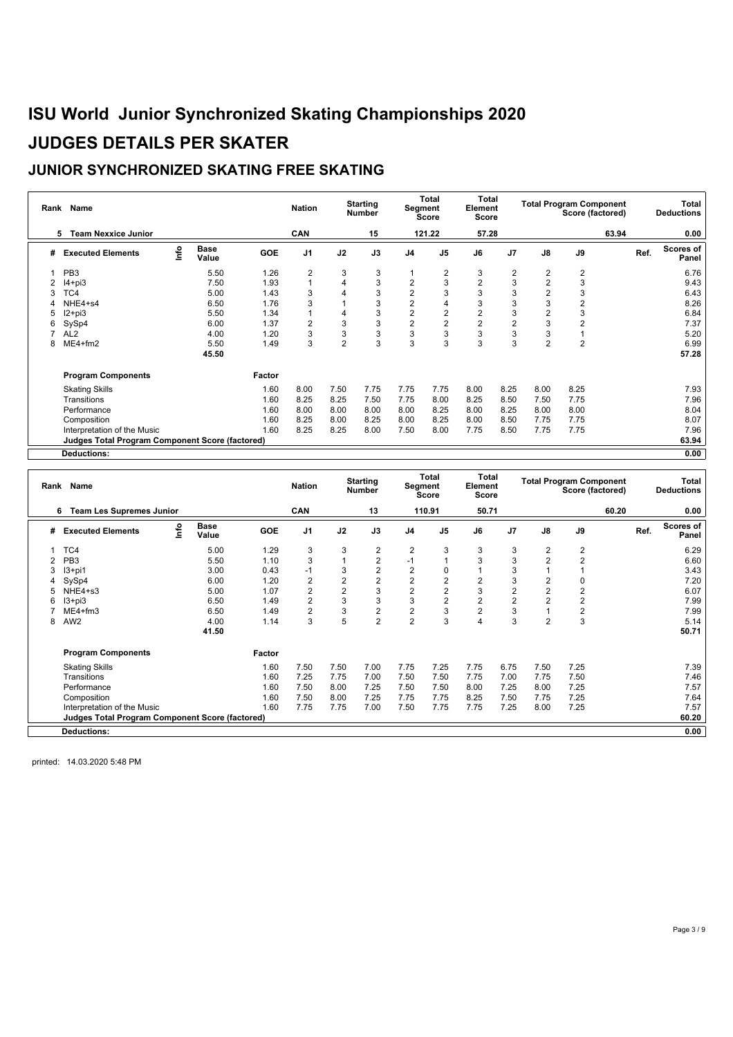#### **JUNIOR SYNCHRONIZED SKATING FREE SKATING**

| Rank | Name                                            |      |                      |            | <b>Nation</b>  |                | <b>Starting</b><br><b>Number</b> | Segment                 | Total<br>Score          | Total<br>Element<br>Score |                |                | <b>Total Program Component</b><br>Score (factored) |       |      | Total<br><b>Deductions</b> |
|------|-------------------------------------------------|------|----------------------|------------|----------------|----------------|----------------------------------|-------------------------|-------------------------|---------------------------|----------------|----------------|----------------------------------------------------|-------|------|----------------------------|
|      | <b>Team Nexxice Junior</b><br>5                 |      |                      |            | CAN            |                | 15                               |                         | 121.22                  | 57.28                     |                |                |                                                    | 63.94 |      | 0.00                       |
| #    | <b>Executed Elements</b>                        | info | <b>Base</b><br>Value | <b>GOE</b> | J <sub>1</sub> | J2             | J3                               | J <sub>4</sub>          | J <sub>5</sub>          | J6                        | J7             | J8             | J9                                                 |       | Ref. | Scores of<br>Panel         |
|      | PB <sub>3</sub>                                 |      | 5.50                 | 1.26       | $\overline{2}$ | 3              | 3                                |                         | $\overline{2}$          | 3                         | $\overline{2}$ | $\overline{2}$ | $\overline{2}$                                     |       |      | 6.76                       |
|      | $I4 + pi3$                                      |      | 7.50                 | 1.93       |                | 4              | 3                                | $\overline{2}$          | 3                       | $\overline{2}$            | 3              | 2              | 3                                                  |       |      | 9.43                       |
|      | TC4                                             |      | 5.00                 | 1.43       | 3              | 4              | 3                                | $\overline{2}$          | 3                       | 3                         | 3              | 2              | 3                                                  |       |      | 6.43                       |
|      | NHE4+s4                                         |      | 6.50                 | 1.76       | 3              |                | 3                                | $\overline{\mathbf{c}}$ | $\overline{4}$          | 3                         | 3              | 3              | $\overline{2}$                                     |       |      | 8.26                       |
|      | $12 + pi3$                                      |      | 5.50                 | 1.34       |                | 4              | 3                                | $\overline{\mathbf{c}}$ | $\overline{\mathbf{c}}$ | $\overline{\mathbf{c}}$   | 3              | 2              | 3                                                  |       |      | 6.84                       |
| 6    | SySp4                                           |      | 6.00                 | 1.37       | $\overline{2}$ | 3              | 3                                | $\overline{2}$          | $\overline{c}$          | $\overline{2}$            | $\overline{2}$ | 3              | $\overline{2}$                                     |       |      | 7.37                       |
|      | AL <sub>2</sub>                                 |      | 4.00                 | 1.20       | 3              | 3              | 3                                | 3                       | 3                       | 3                         | 3              | 3              |                                                    |       |      | 5.20                       |
| 8    | ME4+fm2                                         |      | 5.50                 | 1.49       | 3              | $\overline{2}$ | 3                                | 3                       | 3                       | 3                         | 3              | $\overline{2}$ | $\overline{2}$                                     |       |      | 6.99                       |
|      |                                                 |      | 45.50                |            |                |                |                                  |                         |                         |                           |                |                |                                                    |       |      | 57.28                      |
|      | <b>Program Components</b>                       |      |                      | Factor     |                |                |                                  |                         |                         |                           |                |                |                                                    |       |      |                            |
|      | <b>Skating Skills</b>                           |      |                      | 1.60       | 8.00           | 7.50           | 7.75                             | 7.75                    | 7.75                    | 8.00                      | 8.25           | 8.00           | 8.25                                               |       |      | 7.93                       |
|      | Transitions                                     |      |                      | 1.60       | 8.25           | 8.25           | 7.50                             | 7.75                    | 8.00                    | 8.25                      | 8.50           | 7.50           | 7.75                                               |       |      | 7.96                       |
|      | Performance                                     |      |                      | 1.60       | 8.00           | 8.00           | 8.00                             | 8.00                    | 8.25                    | 8.00                      | 8.25           | 8.00           | 8.00                                               |       |      | 8.04                       |
|      | Composition                                     |      |                      | 1.60       | 8.25           | 8.00           | 8.25                             | 8.00                    | 8.25                    | 8.00                      | 8.50           | 7.75           | 7.75                                               |       |      | 8.07                       |
|      | Interpretation of the Music                     |      |                      | 1.60       | 8.25           | 8.25           | 8.00                             | 7.50                    | 8.00                    | 7.75                      | 8.50           | 7.75           | 7.75                                               |       |      | 7.96                       |
|      | Judges Total Program Component Score (factored) |      |                      |            |                |                |                                  |                         |                         |                           |                |                |                                                    |       |      | 63.94                      |
|      | <b>Deductions:</b>                              |      |                      |            |                |                |                                  |                         |                         |                           |                |                |                                                    |       |      | 0.00                       |

**Rank Name Nation Nation Nation Number Total Segment Score Total Element Score Total Program Component Score (factored) Total Deductions 6 Team Les Supremes Junior CAN 13 110.91 50.71 60.20 0.00 # Executed Elements Info Base Value GOE J1 J2 J3 J4 J5 J6 J7 J8 J9 Ref. Scores of Panel** 1 TC4 5.00 1.29 3 3 2 2 3 3 3 2 2 6.29 2 PB3 5.50 1.10 3 1 2 -1 1 3 3 2 2 6.60 3 I3+pi1 3.00 0.43 -1 3 2 2 0 1 3 1 1 3.43 4 SySp4 6.00 1.20 2 2 2 2 2 2 3 2 0 7.20 5 NHE4+s3 5.00 1.07 2 2 3 2 2 3 2 2 2 6.07 6 I3+pi3 6.50 1.49 2 3 3 3 2 2 2 2 2 7.99 7 ME4+fm3 6.50 1.49 2 3 2 2 3 2 3 1 2 7.99 8 AW2 4.00 1.14 3 5 2 2 3 4 3 2 3 5.14 **41.50 50.71 Program Components Factor** Skating Skills 1.60 7.50 7.50 7.00 7.75 7.25 7.75 6.75 7.50 7.25 7.39 Transitions 1.60 7.25 7.75 7.00 7.50 7.50 7.75 7.00 7.75 7.50 7.46 Performance 1.60 7.50 8.00 7.25 7.50 7.50 8.00 7.25 8.00 7.25 7.57 Composition 1.60 7.50 8.00 7.25 7.75 7.75 8.25 7.50 7.75 7.25 7.64 Interpretation of the Music 1.60 7.75 7.75 7.00 7.50 7.75 7.75 7.25 8.00 7.25 7.57 **Judges Total Program Component Score (factored) 60.20 Deductions: 0.00**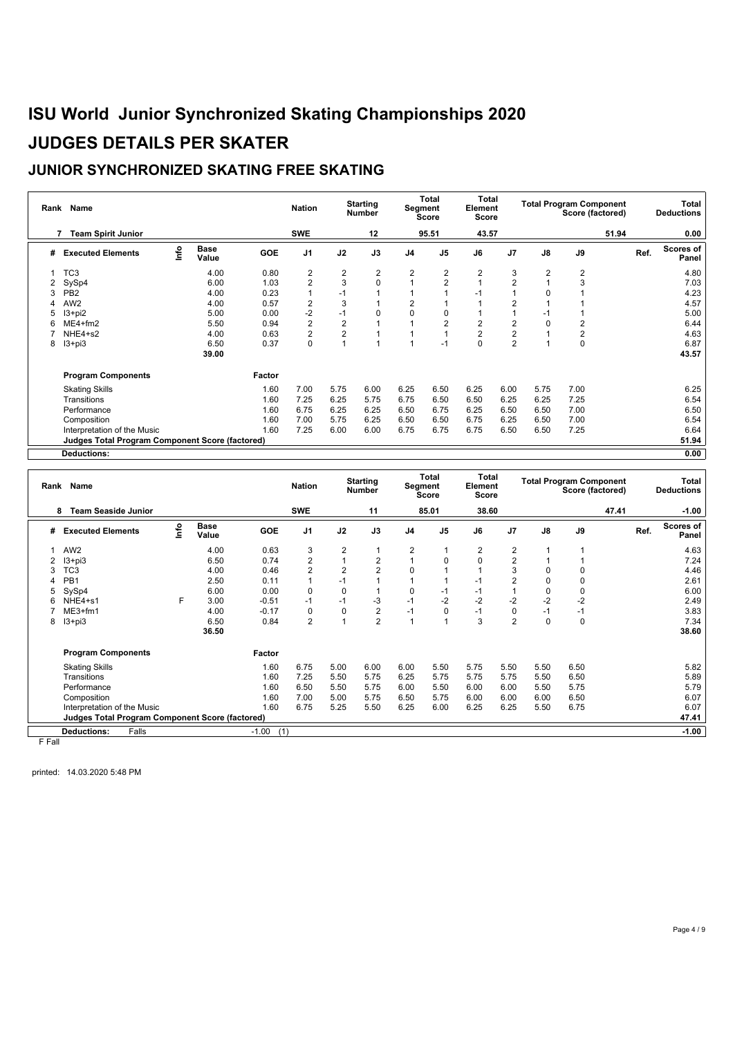### **JUNIOR SYNCHRONIZED SKATING FREE SKATING**

| Rank | Name                                                   |      |                      |            | <b>Nation</b>  |                | <b>Starting</b><br><b>Number</b> |                | Total<br>Segment<br>Score | Total<br>Element<br>Score |                |                | <b>Total Program Component</b><br>Score (factored) |       |      | Total<br><b>Deductions</b> |
|------|--------------------------------------------------------|------|----------------------|------------|----------------|----------------|----------------------------------|----------------|---------------------------|---------------------------|----------------|----------------|----------------------------------------------------|-------|------|----------------------------|
|      | <b>Team Spirit Junior</b><br>7                         |      |                      |            | <b>SWE</b>     |                | 12                               |                | 95.51                     | 43.57                     |                |                |                                                    | 51.94 |      | 0.00                       |
| #    | <b>Executed Elements</b>                               | lnfo | <b>Base</b><br>Value | <b>GOE</b> | J <sub>1</sub> | J2             | J3                               | J <sub>4</sub> | J <sub>5</sub>            | J6                        | J7             | J8             | J9                                                 |       | Ref. | Scores of<br>Panel         |
|      | TC <sub>3</sub>                                        |      | 4.00                 | 0.80       | $\overline{2}$ | $\overline{2}$ | $\overline{2}$                   | $\overline{2}$ | 2                         | $\overline{2}$            | 3              | $\overline{2}$ | $\overline{2}$                                     |       |      | 4.80                       |
|      | SySp4                                                  |      | 6.00                 | 1.03       | $\overline{2}$ | 3              | $\mathbf 0$                      |                | $\overline{2}$            |                           | $\overline{2}$ |                | 3                                                  |       |      | 7.03                       |
|      | PB <sub>2</sub>                                        |      | 4.00                 | 0.23       |                | $-1$           |                                  |                |                           | -1                        |                | 0              |                                                    |       |      | 4.23                       |
| Δ    | AW <sub>2</sub>                                        |      | 4.00                 | 0.57       | $\overline{2}$ | 3              |                                  | 2              |                           |                           | 2              |                |                                                    |       |      | 4.57                       |
| 5    | $13 + pi2$                                             |      | 5.00                 | 0.00       | $-2$           | $-1$           | 0                                | $\Omega$       | 0                         |                           |                | -1             |                                                    |       |      | 5.00                       |
|      | $ME4 + fm2$                                            |      | 5.50                 | 0.94       | $\overline{2}$ | $\overline{2}$ | $\overline{A}$                   |                | $\overline{2}$            | 2                         | $\overline{2}$ | 0              | $\overline{c}$                                     |       |      | 6.44                       |
|      | NHE4+s2                                                |      | 4.00                 | 0.63       | 2              | $\overline{2}$ |                                  |                |                           | 2                         | $\overline{c}$ |                | 2                                                  |       |      | 4.63                       |
| 8    | $13 + pi3$                                             |      | 6.50                 | 0.37       | $\Omega$       |                | $\overline{1}$                   |                | $-1$                      | $\Omega$                  | $\overline{2}$ |                | 0                                                  |       |      | 6.87                       |
|      |                                                        |      | 39.00                |            |                |                |                                  |                |                           |                           |                |                |                                                    |       |      | 43.57                      |
|      | <b>Program Components</b>                              |      |                      | Factor     |                |                |                                  |                |                           |                           |                |                |                                                    |       |      |                            |
|      | <b>Skating Skills</b>                                  |      |                      | 1.60       | 7.00           | 5.75           | 6.00                             | 6.25           | 6.50                      | 6.25                      | 6.00           | 5.75           | 7.00                                               |       |      | 6.25                       |
|      | Transitions                                            |      |                      | 1.60       | 7.25           | 6.25           | 5.75                             | 6.75           | 6.50                      | 6.50                      | 6.25           | 6.25           | 7.25                                               |       |      | 6.54                       |
|      | Performance                                            |      |                      | 1.60       | 6.75           | 6.25           | 6.25                             | 6.50           | 6.75                      | 6.25                      | 6.50           | 6.50           | 7.00                                               |       |      | 6.50                       |
|      | Composition                                            |      |                      | 1.60       | 7.00           | 5.75           | 6.25                             | 6.50           | 6.50                      | 6.75                      | 6.25           | 6.50           | 7.00                                               |       |      | 6.54                       |
|      | Interpretation of the Music                            |      |                      | 1.60       | 7.25           | 6.00           | 6.00                             | 6.75           | 6.75                      | 6.75                      | 6.50           | 6.50           | 7.25                                               |       |      | 6.64                       |
|      | <b>Judges Total Program Component Score (factored)</b> |      |                      |            |                |                |                                  |                |                           |                           |                |                |                                                    |       |      | 51.94                      |
|      | <b>Deductions:</b>                                     |      |                      |            |                |                |                                  |                |                           |                           |                |                |                                                    |       |      | 0.00                       |

| Rank   | Name                                            |      |                      |                | <b>Nation</b>  |                | <b>Starting</b><br><b>Number</b> |                | Total<br>Segment<br>Score | Total<br>Element<br>Score |                         |             | <b>Total Program Component</b><br>Score (factored) |      | Total<br><b>Deductions</b> |
|--------|-------------------------------------------------|------|----------------------|----------------|----------------|----------------|----------------------------------|----------------|---------------------------|---------------------------|-------------------------|-------------|----------------------------------------------------|------|----------------------------|
|        | <b>Team Seaside Junior</b><br>8                 |      |                      |                | <b>SWE</b>     |                | 11                               |                | 85.01                     | 38.60                     |                         |             | 47.41                                              |      | $-1.00$                    |
| #      | <b>Executed Elements</b>                        | lnfo | <b>Base</b><br>Value | GOE            | J <sub>1</sub> | J2             | J3                               | J <sub>4</sub> | J <sub>5</sub>            | J6                        | J <sub>7</sub>          | J8          | J9                                                 | Ref. | Scores of<br>Panel         |
| 1.     | AW <sub>2</sub>                                 |      | 4.00                 | 0.63           | 3              | 2              | 1                                | 2              | 1                         | 2                         | $\overline{2}$          |             |                                                    |      | 4.63                       |
|        | $13 + pi3$                                      |      | 6.50                 | 0.74           | $\overline{2}$ | $\overline{1}$ | 2                                |                | 0                         | 0                         | $\overline{\mathbf{c}}$ |             |                                                    |      | 7.24                       |
| 3      | TC3                                             |      | 4.00                 | 0.46           | 2              | $\overline{2}$ | $\overline{2}$                   | $\Omega$       |                           |                           | 3                       | $\Omega$    | $\Omega$                                           |      | 4.46                       |
| 4      | PB <sub>1</sub>                                 |      | 2.50                 | 0.11           |                | $-1$           |                                  |                |                           | $-1$                      | $\overline{2}$          | 0           | 0                                                  |      | 2.61                       |
| 5      | SySp4                                           |      | 6.00                 | 0.00           | 0              | 0              | -1                               | 0              | $-1$                      | $-1$                      |                         | 0           | $\mathbf 0$                                        |      | 6.00                       |
| 6      | NHE4+s1                                         | F.   | 3.00                 | $-0.51$        | -1             | $-1$           | -3                               | $-1$           | $-2$                      | $-2$                      | $-2$                    | $-2$        | $-2$                                               |      | 2.49                       |
|        | $ME3+fm1$                                       |      | 4.00                 | $-0.17$        | $\Omega$       | 0              | $\overline{2}$                   | $-1$           | $\mathbf 0$               | $-1$                      | $\mathbf 0$             | $-1$        | $-1$                                               |      | 3.83                       |
| 8      | $13 + pi3$                                      |      | 6.50                 | 0.84           | $\overline{2}$ |                | $\overline{2}$                   | 4              |                           | 3                         | $\overline{2}$          | $\mathbf 0$ | 0                                                  |      | 7.34                       |
|        |                                                 |      | 36.50                |                |                |                |                                  |                |                           |                           |                         |             |                                                    |      | 38.60                      |
|        | <b>Program Components</b>                       |      |                      | Factor         |                |                |                                  |                |                           |                           |                         |             |                                                    |      |                            |
|        | <b>Skating Skills</b>                           |      |                      | 1.60           | 6.75           | 5.00           | 6.00                             | 6.00           | 5.50                      | 5.75                      | 5.50                    | 5.50        | 6.50                                               |      | 5.82                       |
|        | Transitions                                     |      |                      | 1.60           | 7.25           | 5.50           | 5.75                             | 6.25           | 5.75                      | 5.75                      | 5.75                    | 5.50        | 6.50                                               |      | 5.89                       |
|        | Performance                                     |      |                      | 1.60           | 6.50           | 5.50           | 5.75                             | 6.00           | 5.50                      | 6.00                      | 6.00                    | 5.50        | 5.75                                               |      | 5.79                       |
|        | Composition                                     |      |                      | 1.60           | 7.00           | 5.00           | 5.75                             | 6.50           | 5.75                      | 6.00                      | 6.00                    | 6.00        | 6.50                                               |      | 6.07                       |
|        | Interpretation of the Music                     |      |                      | 1.60           | 6.75           | 5.25           | 5.50                             | 6.25           | 6.00                      | 6.25                      | 6.25                    | 5.50        | 6.75                                               |      | 6.07                       |
|        | Judges Total Program Component Score (factored) |      |                      |                |                |                |                                  |                |                           |                           |                         |             |                                                    |      | 47.41                      |
|        | Falls<br><b>Deductions:</b>                     |      |                      | $-1.00$<br>(1) |                |                |                                  |                |                           |                           |                         |             |                                                    |      | $-1.00$                    |
| E Eall |                                                 |      |                      |                |                |                |                                  |                |                           |                           |                         |             |                                                    |      |                            |

F Fall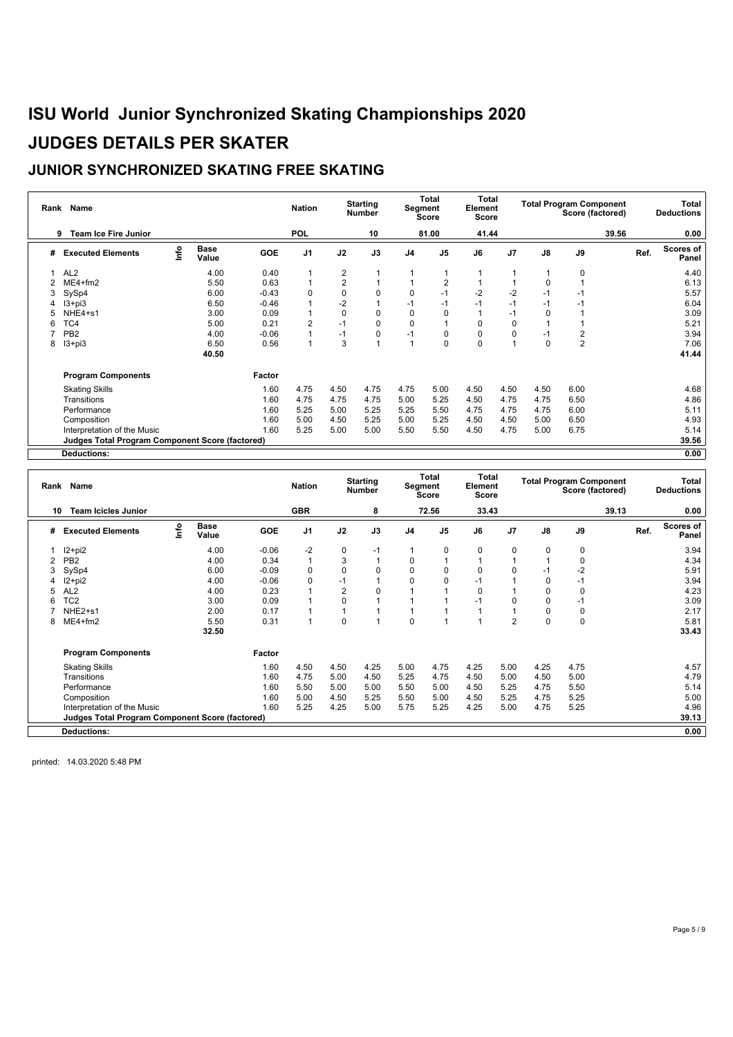### **JUNIOR SYNCHRONIZED SKATING FREE SKATING**

| Rank | Name                                            |      |                      |            | <b>Nation</b>  |                | <b>Starting</b><br><b>Number</b> | Segment        | Total<br>Score | Total<br>Element<br>Score |      |          | <b>Total Program Component</b><br>Score (factored) |       | Total<br><b>Deductions</b> |
|------|-------------------------------------------------|------|----------------------|------------|----------------|----------------|----------------------------------|----------------|----------------|---------------------------|------|----------|----------------------------------------------------|-------|----------------------------|
|      | <b>Team Ice Fire Junior</b><br>9                |      |                      |            | <b>POL</b>     |                | 10                               |                | 81.00          | 41.44                     |      |          |                                                    | 39.56 | 0.00                       |
| #    | <b>Executed Elements</b>                        | info | <b>Base</b><br>Value | <b>GOE</b> | J <sub>1</sub> | J2             | J3                               | J <sub>4</sub> | J <sub>5</sub> | J6                        | J7   | J8       | J9                                                 | Ref.  | Scores of<br>Panel         |
|      | AL <sub>2</sub>                                 |      | 4.00                 | 0.40       |                | $\overline{2}$ |                                  |                |                |                           |      |          | 0                                                  |       | 4.40                       |
|      | $ME4 + fm2$                                     |      | 5.50                 | 0.63       |                | 2              |                                  |                | $\overline{2}$ |                           |      | 0        |                                                    |       | 6.13                       |
|      | SySp4                                           |      | 6.00                 | $-0.43$    | $\Omega$       | $\mathbf 0$    | $\mathbf 0$                      | 0              | $-1$           | $-2$                      | $-2$ | $-1$     | -1                                                 |       | 5.57                       |
|      | $13 + pi3$                                      |      | 6.50                 | $-0.46$    |                | $-2$           |                                  | $-1$           | $-1$           | $-1$                      | $-1$ | $-1$     | $-1$                                               |       | 6.04                       |
|      | NHE4+s1                                         |      | 3.00                 | 0.09       |                |                | $\mathbf 0$                      | $\mathbf 0$    | $\mathbf 0$    |                           | $-1$ | 0        |                                                    |       | 3.09                       |
| 6    | TC4                                             |      | 5.00                 | 0.21       | $\overline{2}$ | $-1$           | $\mathbf 0$                      | 0              | $\overline{1}$ | 0                         | 0    |          |                                                    |       | 5.21                       |
|      | PB <sub>2</sub>                                 |      | 4.00                 | $-0.06$    |                | $-1$           | 0                                | $-1$           | 0              | 0                         | 0    | $-1$     | 2                                                  |       | 3.94                       |
| 8    | $13 + pi3$                                      |      | 6.50                 | 0.56       |                | 3              |                                  | 1              | $\Omega$       | $\Omega$                  |      | $\Omega$ | $\overline{2}$                                     |       | 7.06                       |
|      |                                                 |      | 40.50                |            |                |                |                                  |                |                |                           |      |          |                                                    |       | 41.44                      |
|      | <b>Program Components</b>                       |      |                      | Factor     |                |                |                                  |                |                |                           |      |          |                                                    |       |                            |
|      | <b>Skating Skills</b>                           |      |                      | 1.60       | 4.75           | 4.50           | 4.75                             | 4.75           | 5.00           | 4.50                      | 4.50 | 4.50     | 6.00                                               |       | 4.68                       |
|      | Transitions                                     |      |                      | 1.60       | 4.75           | 4.75           | 4.75                             | 5.00           | 5.25           | 4.50                      | 4.75 | 4.75     | 6.50                                               |       | 4.86                       |
|      | Performance                                     |      |                      | 1.60       | 5.25           | 5.00           | 5.25                             | 5.25           | 5.50           | 4.75                      | 4.75 | 4.75     | 6.00                                               |       | 5.11                       |
|      | Composition                                     |      |                      | 1.60       | 5.00           | 4.50           | 5.25                             | 5.00           | 5.25           | 4.50                      | 4.50 | 5.00     | 6.50                                               |       | 4.93                       |
|      | Interpretation of the Music                     |      |                      | 1.60       | 5.25           | 5.00           | 5.00                             | 5.50           | 5.50           | 4.50                      | 4.75 | 5.00     | 6.75                                               |       | 5.14                       |
|      | Judges Total Program Component Score (factored) |      |                      |            |                |                |                                  |                |                |                           |      |          |                                                    |       | 39.56                      |
|      | <b>Deductions:</b>                              |      |                      |            |                |                |                                  |                |                |                           |      |          |                                                    |       | 0.00                       |

|   | Rank Name                                              |      |                      |            | <b>Nation</b>  |      | <b>Starting</b><br><b>Number</b> |                | Total<br>Segment<br>Score | Total<br>Element<br>Score |                |      | <b>Total Program Component</b><br>Score (factored) |       |      | Total<br><b>Deductions</b> |
|---|--------------------------------------------------------|------|----------------------|------------|----------------|------|----------------------------------|----------------|---------------------------|---------------------------|----------------|------|----------------------------------------------------|-------|------|----------------------------|
|   | <b>Team Icicles Junior</b><br>10                       |      |                      |            | <b>GBR</b>     |      | 8                                |                | 72.56                     | 33.43                     |                |      |                                                    | 39.13 |      | 0.00                       |
| # | <b>Executed Elements</b>                               | ١nf٥ | <b>Base</b><br>Value | <b>GOE</b> | J <sub>1</sub> | J2   | J3                               | J <sub>4</sub> | J <sub>5</sub>            | J6                        | J <sub>7</sub> | J8   | J9                                                 |       | Ref. | Scores of<br>Panel         |
|   | I2+pi2                                                 |      | 4.00                 | $-0.06$    | $-2$           | 0    | $-1$                             |                | $\mathbf 0$               | 0                         | 0              | 0    | 0                                                  |       |      | 3.94                       |
|   | PB <sub>2</sub>                                        |      | 4.00                 | 0.34       |                | 3    | $\overline{1}$                   | 0              |                           |                           |                |      | 0                                                  |       |      | 4.34                       |
| 3 | SySp4                                                  |      | 6.00                 | $-0.09$    | $\Omega$       | 0    | $\Omega$                         | $\mathbf 0$    | $\mathbf 0$               | 0                         | $\Omega$       | -1   | $-2$                                               |       |      | 5.91                       |
|   | I2+pi2                                                 |      | 4.00                 | $-0.06$    | 0              | $-1$ |                                  | 0              | 0                         | $-1$                      |                | 0    | $-1$                                               |       |      | 3.94                       |
| 5 | AL <sub>2</sub>                                        |      | 4.00                 | 0.23       |                | 2    | $\mathbf 0$                      |                |                           | 0                         |                |      | 0                                                  |       |      | 4.23                       |
| 6 | TC <sub>2</sub>                                        |      | 3.00                 | 0.09       |                | 0    |                                  |                |                           | $-1$                      | 0              | 0    | -1                                                 |       |      | 3.09                       |
|   | NHE <sub>2+s1</sub>                                    |      | 2.00                 | 0.17       |                |      |                                  |                |                           |                           |                |      | 0                                                  |       |      | 2.17                       |
| 8 | $ME4 + fm2$                                            |      | 5.50                 | 0.31       |                | 0    |                                  | 0              |                           |                           | $\overline{2}$ | 0    | 0                                                  |       |      | 5.81                       |
|   |                                                        |      | 32.50                |            |                |      |                                  |                |                           |                           |                |      |                                                    |       |      | 33.43                      |
|   | <b>Program Components</b>                              |      |                      | Factor     |                |      |                                  |                |                           |                           |                |      |                                                    |       |      |                            |
|   | <b>Skating Skills</b>                                  |      |                      | 1.60       | 4.50           | 4.50 | 4.25                             | 5.00           | 4.75                      | 4.25                      | 5.00           | 4.25 | 4.75                                               |       |      | 4.57                       |
|   | Transitions                                            |      |                      | 1.60       | 4.75           | 5.00 | 4.50                             | 5.25           | 4.75                      | 4.50                      | 5.00           | 4.50 | 5.00                                               |       |      | 4.79                       |
|   | Performance                                            |      |                      | 1.60       | 5.50           | 5.00 | 5.00                             | 5.50           | 5.00                      | 4.50                      | 5.25           | 4.75 | 5.50                                               |       |      | 5.14                       |
|   | Composition                                            |      |                      | 1.60       | 5.00           | 4.50 | 5.25                             | 5.50           | 5.00                      | 4.50                      | 5.25           | 4.75 | 5.25                                               |       |      | 5.00                       |
|   | Interpretation of the Music                            |      |                      | 1.60       | 5.25           | 4.25 | 5.00                             | 5.75           | 5.25                      | 4.25                      | 5.00           | 4.75 | 5.25                                               |       |      | 4.96                       |
|   | <b>Judges Total Program Component Score (factored)</b> |      |                      |            |                |      |                                  |                |                           |                           |                |      |                                                    |       |      | 39.13                      |
|   | <b>Deductions:</b>                                     |      |                      |            |                |      |                                  |                |                           |                           |                |      |                                                    |       |      | 0.00                       |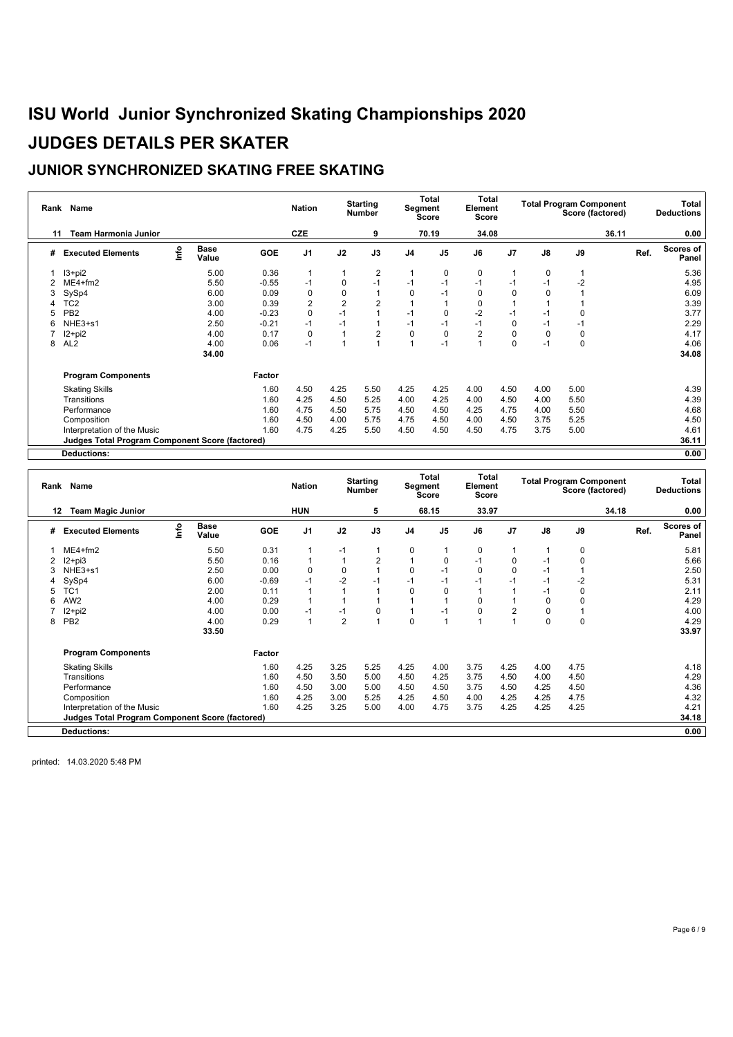### **JUNIOR SYNCHRONIZED SKATING FREE SKATING**

| Rank | Name                                            |      |                      |            | <b>Nation</b>  |                | <b>Starting</b><br><b>Number</b> |                | <b>Total</b><br>Segment<br>Score | Total<br>Element<br>Score |                |          | <b>Total Program Component</b><br>Score (factored) |       | Total<br><b>Deductions</b> |
|------|-------------------------------------------------|------|----------------------|------------|----------------|----------------|----------------------------------|----------------|----------------------------------|---------------------------|----------------|----------|----------------------------------------------------|-------|----------------------------|
| 11   | <b>Team Harmonia Junior</b>                     |      |                      |            | CZE            |                | 9                                |                | 70.19                            | 34.08                     |                |          |                                                    | 36.11 | 0.00                       |
| #    | <b>Executed Elements</b>                        | ١nfo | <b>Base</b><br>Value | <b>GOE</b> | J <sub>1</sub> | J2             | J3                               | J <sub>4</sub> | J <sub>5</sub>                   | J6                        | J <sub>7</sub> | J8       | J9                                                 | Ref.  | Scores of<br>Panel         |
|      | $13 + pi2$                                      |      | 5.00                 | 0.36       |                |                | $\overline{2}$                   |                | 0                                | 0                         |                | 0        |                                                    |       | 5.36                       |
|      | $ME4 + fm2$                                     |      | 5.50                 | $-0.55$    | $-1$           | 0              | $-1$                             | $-1$           | $-1$                             | $-1$                      | $-1$           | $-1$     | $-2$                                               |       | 4.95                       |
|      | SySp4                                           |      | 6.00                 | 0.09       | $\Omega$       |                |                                  | 0              | $-1$                             | 0                         | 0              | 0        |                                                    |       | 6.09                       |
|      | TC <sub>2</sub>                                 |      | 3.00                 | 0.39       | $\overline{2}$ | $\overline{2}$ | $\overline{c}$                   |                |                                  | 0                         |                |          |                                                    |       | 3.39                       |
|      | PB <sub>2</sub>                                 |      | 4.00                 | $-0.23$    | 0              | $-1$           |                                  | $-1$           | 0                                | $-2$                      | $-1$           | -1       | 0                                                  |       | 3.77                       |
| 6    | NHE3+s1                                         |      | 2.50                 | $-0.21$    | $-1$           | $-1$           |                                  | $-1$           | $-1$                             | $-1$                      | 0              | $-1$     | $-1$                                               |       | 2.29                       |
|      | $12+pi2$                                        |      | 4.00                 | 0.17       | $\Omega$       |                | $\overline{2}$                   | $\mathbf 0$    | $\mathbf 0$                      | 2                         | $\Omega$       | $\Omega$ | $\Omega$                                           |       | 4.17                       |
| 8    | AL <sub>2</sub>                                 |      | 4.00                 | 0.06       | $-1$           |                |                                  |                | $-1$                             |                           | $\Omega$       | $-1$     | 0                                                  |       | 4.06                       |
|      |                                                 |      | 34.00                |            |                |                |                                  |                |                                  |                           |                |          |                                                    |       | 34.08                      |
|      | <b>Program Components</b>                       |      |                      | Factor     |                |                |                                  |                |                                  |                           |                |          |                                                    |       |                            |
|      | <b>Skating Skills</b>                           |      |                      | 1.60       | 4.50           | 4.25           | 5.50                             | 4.25           | 4.25                             | 4.00                      | 4.50           | 4.00     | 5.00                                               |       | 4.39                       |
|      | Transitions                                     |      |                      | 1.60       | 4.25           | 4.50           | 5.25                             | 4.00           | 4.25                             | 4.00                      | 4.50           | 4.00     | 5.50                                               |       | 4.39                       |
|      | Performance                                     |      |                      | 1.60       | 4.75           | 4.50           | 5.75                             | 4.50           | 4.50                             | 4.25                      | 4.75           | 4.00     | 5.50                                               |       | 4.68                       |
|      | Composition                                     |      |                      | 1.60       | 4.50           | 4.00           | 5.75                             | 4.75           | 4.50                             | 4.00                      | 4.50           | 3.75     | 5.25                                               |       | 4.50                       |
|      | Interpretation of the Music                     |      |                      | 1.60       | 4.75           | 4.25           | 5.50                             | 4.50           | 4.50                             | 4.50                      | 4.75           | 3.75     | 5.00                                               |       | 4.61                       |
|      | Judges Total Program Component Score (factored) |      |                      |            |                |                |                                  |                |                                  |                           |                |          |                                                    |       | 36.11                      |
|      | <b>Deductions:</b>                              |      |                      |            |                |                |                                  |                |                                  |                           |                |          |                                                    |       | 0.00                       |

|    | Rank Name                                              |      |                      |            | <b>Nation</b>  |                | <b>Starting</b><br><b>Number</b> |                | Total<br>Segment<br><b>Score</b> | Total<br>Element<br><b>Score</b> |                |      | <b>Total Program Component</b><br>Score (factored) |       |      | Total<br><b>Deductions</b> |
|----|--------------------------------------------------------|------|----------------------|------------|----------------|----------------|----------------------------------|----------------|----------------------------------|----------------------------------|----------------|------|----------------------------------------------------|-------|------|----------------------------|
| 12 | <b>Team Magic Junior</b>                               |      |                      |            | <b>HUN</b>     |                | 5                                |                | 68.15                            | 33.97                            |                |      |                                                    | 34.18 |      | 0.00                       |
| #  | <b>Executed Elements</b>                               | lnfo | <b>Base</b><br>Value | <b>GOE</b> | J <sub>1</sub> | J2             | J3                               | J <sub>4</sub> | J <sub>5</sub>                   | J6                               | J <sub>7</sub> | J8   | J9                                                 |       | Ref. | Scores of<br>Panel         |
|    | $ME4 + fm2$                                            |      | 5.50                 | 0.31       |                | $-1$           |                                  | 0              |                                  | 0                                |                |      | 0                                                  |       |      | 5.81                       |
|    | I2+pi3                                                 |      | 5.50                 | 0.16       |                |                | $\overline{2}$                   |                | 0                                | $-1$                             | $\mathbf 0$    | -1   | $\Omega$                                           |       |      | 5.66                       |
|    | NHE3+s1                                                |      | 2.50                 | 0.00       | $\Omega$       | 0              |                                  | 0              | $-1$                             | $\mathbf 0$                      | $\mathbf 0$    | $-1$ |                                                    |       |      | 2.50                       |
|    | SySp4                                                  |      | 6.00                 | $-0.69$    | $-1$           | $-2$           | $-1$                             | $-1$           | $-1$                             | $-1$                             | $-1$           | -1   | $-2$                                               |       |      | 5.31                       |
| 5  | TC <sub>1</sub>                                        |      | 2.00                 | 0.11       |                |                |                                  | 0              | $\mathbf 0$                      |                                  |                | -1   | $\Omega$                                           |       |      | 2.11                       |
| 6  | AW <sub>2</sub>                                        |      | 4.00                 | 0.29       |                |                |                                  |                |                                  | 0                                |                |      |                                                    |       |      | 4.29                       |
|    | I2+pi2                                                 |      | 4.00                 | 0.00       | $-1$           | $-1$           | 0                                |                | $-1$                             | 0                                | $\overline{2}$ | 0    |                                                    |       |      | 4.00                       |
| 8  | PB <sub>2</sub>                                        |      | 4.00                 | 0.29       |                | $\overline{2}$ |                                  | 0              |                                  |                                  |                | 0    | $\Omega$                                           |       |      | 4.29                       |
|    |                                                        |      | 33.50                |            |                |                |                                  |                |                                  |                                  |                |      |                                                    |       |      | 33.97                      |
|    | <b>Program Components</b>                              |      |                      | Factor     |                |                |                                  |                |                                  |                                  |                |      |                                                    |       |      |                            |
|    | <b>Skating Skills</b>                                  |      |                      | 1.60       | 4.25           | 3.25           | 5.25                             | 4.25           | 4.00                             | 3.75                             | 4.25           | 4.00 | 4.75                                               |       |      | 4.18                       |
|    | Transitions                                            |      |                      | 1.60       | 4.50           | 3.50           | 5.00                             | 4.50           | 4.25                             | 3.75                             | 4.50           | 4.00 | 4.50                                               |       |      | 4.29                       |
|    | Performance                                            |      |                      | 1.60       | 4.50           | 3.00           | 5.00                             | 4.50           | 4.50                             | 3.75                             | 4.50           | 4.25 | 4.50                                               |       |      | 4.36                       |
|    | Composition                                            |      |                      | 1.60       | 4.25           | 3.00           | 5.25                             | 4.25           | 4.50                             | 4.00                             | 4.25           | 4.25 | 4.75                                               |       |      | 4.32                       |
|    | Interpretation of the Music                            |      |                      | 1.60       | 4.25           | 3.25           | 5.00                             | 4.00           | 4.75                             | 3.75                             | 4.25           | 4.25 | 4.25                                               |       |      | 4.21                       |
|    | <b>Judges Total Program Component Score (factored)</b> |      |                      |            |                |                |                                  |                |                                  |                                  |                |      |                                                    |       |      | 34.18                      |
|    | <b>Deductions:</b>                                     |      |                      |            |                |                |                                  |                |                                  |                                  |                |      |                                                    |       |      | 0.00                       |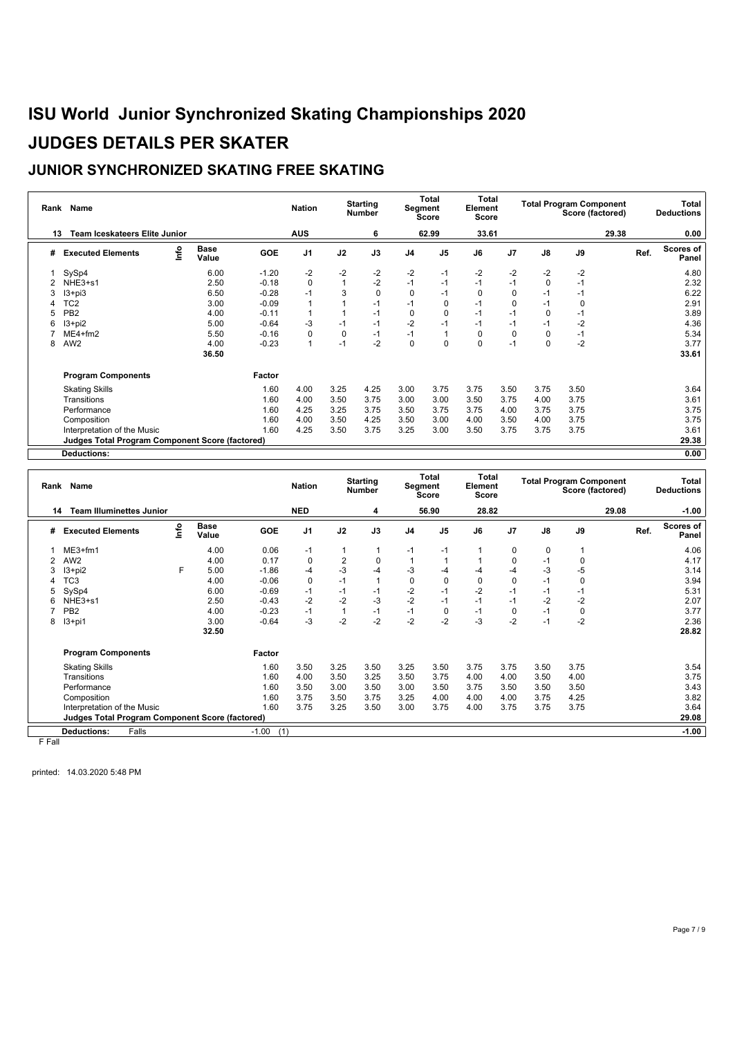### **JUNIOR SYNCHRONIZED SKATING FREE SKATING**

| Rank | Name                                                   |      |                      |            | <b>Nation</b>  |             | <b>Starting</b><br><b>Number</b> |                | <b>Total</b><br>Segment<br>Score | Total<br>Element<br>Score |                |          | <b>Total Program Component</b><br>Score (factored) |      | Total<br><b>Deductions</b> |
|------|--------------------------------------------------------|------|----------------------|------------|----------------|-------------|----------------------------------|----------------|----------------------------------|---------------------------|----------------|----------|----------------------------------------------------|------|----------------------------|
| 13   | <b>Team Iceskateers Elite Junior</b>                   |      |                      |            | <b>AUS</b>     |             | 6                                |                | 62.99                            | 33.61                     |                |          | 29.38                                              |      | 0.00                       |
| #    | <b>Executed Elements</b>                               | ١nfo | <b>Base</b><br>Value | <b>GOE</b> | J <sub>1</sub> | J2          | J3                               | J <sub>4</sub> | J <sub>5</sub>                   | J6                        | J <sub>7</sub> | J8       | J9                                                 | Ref. | Scores of<br>Panel         |
|      | SySp4                                                  |      | 6.00                 | $-1.20$    | $-2$           | $-2$        | -2                               | $-2$           | $-1$                             | $-2$                      | $-2$           | $-2$     | $-2$                                               |      | 4.80                       |
|      | NHE3+s1                                                |      | 2.50                 | $-0.18$    | 0              |             | $-2$                             | $-1$           | $-1$                             | $-1$                      | $-1$           | 0        | $-1$                                               |      | 2.32                       |
|      | $13 + pi3$                                             |      | 6.50                 | $-0.28$    | $-1$           | 3           | $\mathbf 0$                      | 0              | $-1$                             | 0                         | $\Omega$       | $-1$     | $-1$                                               |      | 6.22                       |
|      | TC <sub>2</sub>                                        |      | 3.00                 | $-0.09$    |                |             | $-1$                             | $-1$           | 0                                | $-1$                      | 0              | $-1$     | 0                                                  |      | 2.91                       |
|      | PB <sub>2</sub>                                        |      | 4.00                 | $-0.11$    |                |             | $-1$                             | 0              | $\mathbf 0$                      | $-1$                      | $-1$           | 0        | -1                                                 |      | 3.89                       |
|      | $13 + pi2$                                             |      | 5.00                 | $-0.64$    | -3             | $-1$        | $-1$                             | $-2$           | $-1$                             | $-1$                      | $-1$           | $-1$     | $-2$                                               |      | 4.36                       |
|      | $ME4 + fm2$                                            |      | 5.50                 | $-0.16$    | $\Omega$       | $\mathbf 0$ | $-1$                             | $-1$           | $\mathbf{1}$                     | 0                         | 0              | $\Omega$ | $-1$                                               |      | 5.34                       |
| 8    | AW <sub>2</sub>                                        |      | 4.00                 | $-0.23$    |                | $-1$        | $-2$                             | $\Omega$       | $\Omega$                         | $\Omega$                  | $-1$           | $\Omega$ | $-2$                                               |      | 3.77                       |
|      |                                                        |      | 36.50                |            |                |             |                                  |                |                                  |                           |                |          |                                                    |      | 33.61                      |
|      | <b>Program Components</b>                              |      |                      | Factor     |                |             |                                  |                |                                  |                           |                |          |                                                    |      |                            |
|      | <b>Skating Skills</b>                                  |      |                      | 1.60       | 4.00           | 3.25        | 4.25                             | 3.00           | 3.75                             | 3.75                      | 3.50           | 3.75     | 3.50                                               |      | 3.64                       |
|      | Transitions                                            |      |                      | 1.60       | 4.00           | 3.50        | 3.75                             | 3.00           | 3.00                             | 3.50                      | 3.75           | 4.00     | 3.75                                               |      | 3.61                       |
|      | Performance                                            |      |                      | 1.60       | 4.25           | 3.25        | 3.75                             | 3.50           | 3.75                             | 3.75                      | 4.00           | 3.75     | 3.75                                               |      | 3.75                       |
|      | Composition                                            |      |                      | 1.60       | 4.00           | 3.50        | 4.25                             | 3.50           | 3.00                             | 4.00                      | 3.50           | 4.00     | 3.75                                               |      | 3.75                       |
|      | Interpretation of the Music                            |      |                      | 1.60       | 4.25           | 3.50        | 3.75                             | 3.25           | 3.00                             | 3.50                      | 3.75           | 3.75     | 3.75                                               |      | 3.61                       |
|      | <b>Judges Total Program Component Score (factored)</b> |      |                      |            |                |             |                                  |                |                                  |                           |                |          |                                                    |      | 29.38                      |
|      | <b>Deductions:</b>                                     |      |                      |            |                |             |                                  |                |                                  |                           |                |          |                                                    |      | 0.00                       |

| Rank | <b>Name</b>                                     |      |                      |                | <b>Nation</b>  |      | <b>Starting</b><br><b>Number</b> |                | Total<br>Segment<br><b>Score</b> | <b>Total</b><br>Element<br><b>Score</b> |                |               | <b>Total Program Component</b><br>Score (factored) |       |      | <b>Total</b><br><b>Deductions</b> |
|------|-------------------------------------------------|------|----------------------|----------------|----------------|------|----------------------------------|----------------|----------------------------------|-----------------------------------------|----------------|---------------|----------------------------------------------------|-------|------|-----------------------------------|
| 14   | <b>Team Illuminettes Junior</b>                 |      |                      |                | <b>NED</b>     |      | 4                                |                | 56.90                            | 28.82                                   |                |               |                                                    | 29.08 |      | $-1.00$                           |
| #    | <b>Executed Elements</b>                        | lnfo | <b>Base</b><br>Value | <b>GOE</b>     | J <sub>1</sub> | J2   | J3                               | J <sub>4</sub> | J <sub>5</sub>                   | J6                                      | J <sub>7</sub> | $\mathsf{J}8$ | J9                                                 |       | Ref. | <b>Scores of</b><br>Panel         |
|      | $ME3+fm1$                                       |      | 4.00                 | 0.06           | $-1$           |      | 1                                | $-1$           | $-1$                             |                                         | 0              | 0             |                                                    |       |      | 4.06                              |
|      | AW <sub>2</sub>                                 |      | 4.00                 | 0.17           | 0              | 2    | $\mathbf 0$                      |                |                                  |                                         | 0              | $-1$          | $\mathbf 0$                                        |       |      | 4.17                              |
| 3    | $13 + pi2$                                      | F.   | 5.00                 | $-1.86$        | -4             | $-3$ | -4                               | $-3$           | -4                               | $-4$                                    | -4             | $-3$          | $-5$                                               |       |      | 3.14                              |
|      | TC3                                             |      | 4.00                 | $-0.06$        | $\Omega$       | $-1$ |                                  | 0              | 0                                | 0                                       | 0              | $-1$          | 0                                                  |       |      | 3.94                              |
| 5    | SySp4                                           |      | 6.00                 | $-0.69$        | $-1$           | $-1$ | $-1$                             | $-2$           | $-1$                             | $-2$                                    | $-1$           | -1            | $-1$                                               |       |      | 5.31                              |
| 6    | NHE3+s1                                         |      | 2.50                 | $-0.43$        | $-2$           | $-2$ | $-3$                             | $-2$           | $-1$                             | $-1$                                    | $-1$           | $-2$          | $-2$                                               |       |      | 2.07                              |
|      | PB <sub>2</sub>                                 |      | 4.00                 | $-0.23$        | $-1$           |      | $-1$                             | $-1$           | 0                                | $-1$                                    | $\Omega$       | $-1$          | 0                                                  |       |      | 3.77                              |
| 8    | $13+pi1$                                        |      | 3.00                 | $-0.64$        | -3             | $-2$ | $-2$                             | $-2$           | $-2$                             | $-3$                                    | $-2$           | $-1$          | $-2$                                               |       |      | 2.36                              |
|      |                                                 |      | 32.50                |                |                |      |                                  |                |                                  |                                         |                |               |                                                    |       |      | 28.82                             |
|      | <b>Program Components</b>                       |      |                      | Factor         |                |      |                                  |                |                                  |                                         |                |               |                                                    |       |      |                                   |
|      | <b>Skating Skills</b>                           |      |                      | 1.60           | 3.50           | 3.25 | 3.50                             | 3.25           | 3.50                             | 3.75                                    | 3.75           | 3.50          | 3.75                                               |       |      | 3.54                              |
|      | Transitions                                     |      |                      | 1.60           | 4.00           | 3.50 | 3.25                             | 3.50           | 3.75                             | 4.00                                    | 4.00           | 3.50          | 4.00                                               |       |      | 3.75                              |
|      | Performance                                     |      |                      | 1.60           | 3.50           | 3.00 | 3.50                             | 3.00           | 3.50                             | 3.75                                    | 3.50           | 3.50          | 3.50                                               |       |      | 3.43                              |
|      | Composition                                     |      |                      | 1.60           | 3.75           | 3.50 | 3.75                             | 3.25           | 4.00                             | 4.00                                    | 4.00           | 3.75          | 4.25                                               |       |      | 3.82                              |
|      | Interpretation of the Music                     |      |                      | 1.60           | 3.75           | 3.25 | 3.50                             | 3.00           | 3.75                             | 4.00                                    | 3.75           | 3.75          | 3.75                                               |       |      | 3.64                              |
|      | Judges Total Program Component Score (factored) |      |                      |                |                |      |                                  |                |                                  |                                         |                |               |                                                    |       |      | 29.08                             |
|      | Falls<br><b>Deductions:</b>                     |      |                      | (1)<br>$-1.00$ |                |      |                                  |                |                                  |                                         |                |               |                                                    |       |      | $-1.00$                           |

F Fall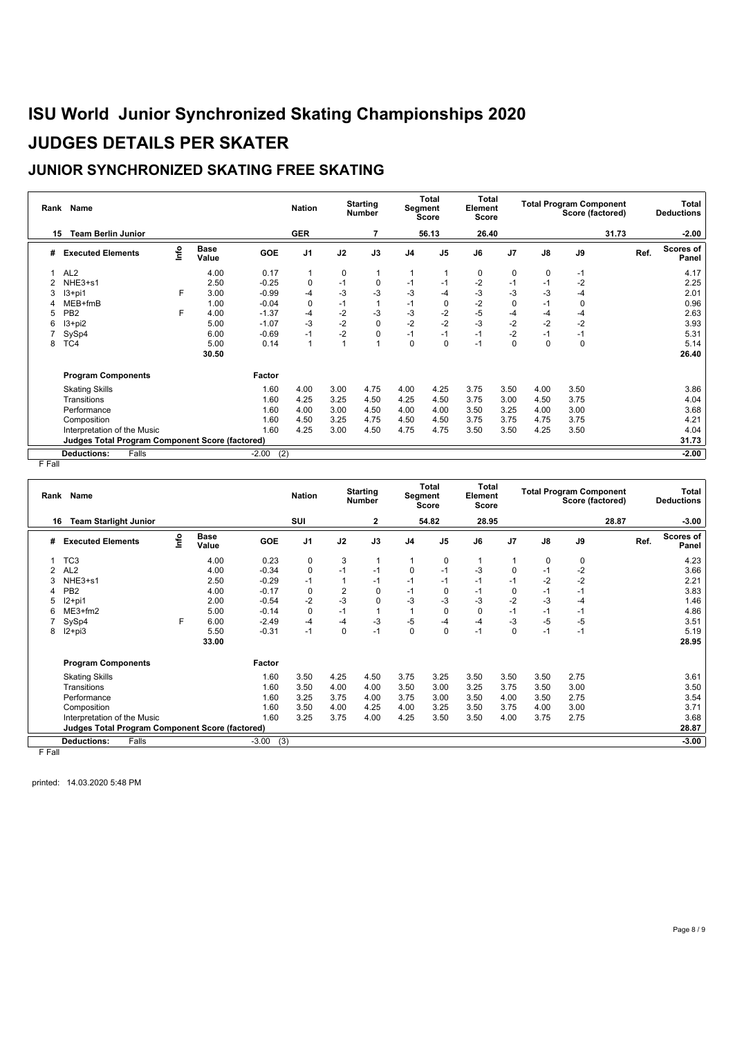### **JUNIOR SYNCHRONIZED SKATING FREE SKATING**

| Rank Name |                                                        |      |                      |                | <b>Starting</b><br><b>Nation</b><br><b>Number</b> |      | Total<br>Segment<br>Score |                | Total<br>Element<br>Score |       |                | <b>Total Program Component</b><br>Score (factored) |       | Total<br><b>Deductions</b> |                    |
|-----------|--------------------------------------------------------|------|----------------------|----------------|---------------------------------------------------|------|---------------------------|----------------|---------------------------|-------|----------------|----------------------------------------------------|-------|----------------------------|--------------------|
|           | <b>Team Berlin Junior</b><br>15                        |      |                      |                | <b>GER</b>                                        |      |                           |                | 56.13                     | 26.40 |                |                                                    | 31.73 |                            | $-2.00$            |
| #         | <b>Executed Elements</b>                               | ١nfo | <b>Base</b><br>Value | <b>GOE</b>     | J <sub>1</sub>                                    | J2   | J3                        | J <sub>4</sub> | J <sub>5</sub>            | J6    | J <sub>7</sub> | J8                                                 | J9    | Ref.                       | Scores of<br>Panel |
|           | AL <sub>2</sub>                                        |      | 4.00                 | 0.17           |                                                   | 0    | $\overline{1}$            | 1              |                           | 0     | 0              | 0                                                  | $-1$  |                            | 4.17               |
|           | NHE3+s1                                                |      | 2.50                 | $-0.25$        | $\Omega$                                          | $-1$ | 0                         | $-1$           | $-1$                      | $-2$  | $-1$           | $-1$                                               | $-2$  |                            | 2.25               |
|           | $13+pi1$                                               | F    | 3.00                 | $-0.99$        | -4                                                | $-3$ | -3                        | $-3$           | -4                        | -3    | -3             | -3                                                 | -4    |                            | 2.01               |
|           | $MEB+fmB$                                              |      | 1.00                 | $-0.04$        | 0                                                 | $-1$ | $\overline{1}$            | $-1$           | 0                         | $-2$  | $\mathbf 0$    | $-1$                                               | 0     |                            | 0.96               |
| 5         | PB <sub>2</sub>                                        | F    | 4.00                 | $-1.37$        | $-4$                                              | $-2$ | $-3$                      | $-3$           | $-2$                      | $-5$  | -4             | -4                                                 | -4    |                            | 2.63               |
| 6         | $13 + pi2$                                             |      | 5.00                 | $-1.07$        | -3                                                | $-2$ | 0                         | $-2$           | $-2$                      | $-3$  | $-2$           | $-2$                                               | $-2$  |                            | 3.93               |
|           | SySp4                                                  |      | 6.00                 | $-0.69$        | -1                                                | $-2$ | 0                         | $-1$           | $-1$                      | $-1$  | $-2$           | -1                                                 | $-1$  |                            | 5.31               |
| 8         | TC4                                                    |      | 5.00                 | 0.14           |                                                   |      | $\overline{1}$            | $\mathbf 0$    | 0                         | $-1$  | 0              | $\Omega$                                           | 0     |                            | 5.14               |
|           |                                                        |      | 30.50                |                |                                                   |      |                           |                |                           |       |                |                                                    |       |                            | 26.40              |
|           | <b>Program Components</b>                              |      |                      | Factor         |                                                   |      |                           |                |                           |       |                |                                                    |       |                            |                    |
|           | <b>Skating Skills</b>                                  |      |                      | 1.60           | 4.00                                              | 3.00 | 4.75                      | 4.00           | 4.25                      | 3.75  | 3.50           | 4.00                                               | 3.50  |                            | 3.86               |
|           | Transitions                                            |      |                      | 1.60           | 4.25                                              | 3.25 | 4.50                      | 4.25           | 4.50                      | 3.75  | 3.00           | 4.50                                               | 3.75  |                            | 4.04               |
|           | Performance                                            |      |                      | 1.60           | 4.00                                              | 3.00 | 4.50                      | 4.00           | 4.00                      | 3.50  | 3.25           | 4.00                                               | 3.00  |                            | 3.68               |
|           | Composition                                            |      |                      | 1.60           | 4.50                                              | 3.25 | 4.75                      | 4.50           | 4.50                      | 3.75  | 3.75           | 4.75                                               | 3.75  |                            | 4.21               |
|           | Interpretation of the Music                            |      |                      | 1.60           | 4.25                                              | 3.00 | 4.50                      | 4.75           | 4.75                      | 3.50  | 3.50           | 4.25                                               | 3.50  |                            | 4.04               |
|           | <b>Judges Total Program Component Score (factored)</b> |      |                      |                |                                                   |      |                           |                |                           |       |                |                                                    |       |                            | 31.73              |
|           | Falls<br><b>Deductions:</b>                            |      |                      | (2)<br>$-2.00$ |                                                   |      |                           |                |                           |       |                |                                                    |       |                            | $-2.00$            |

 $F$  Fall

| Rank Name |                                                        |      |                      | <b>Starting</b><br><b>Nation</b><br><b>Number</b> |                | <b>Total</b><br>Segment<br>Score |      | Total<br>Element<br><b>Score</b> |                | <b>Total Program Component</b><br>Score (factored) |          |      | Total<br><b>Deductions</b> |       |      |                    |
|-----------|--------------------------------------------------------|------|----------------------|---------------------------------------------------|----------------|----------------------------------|------|----------------------------------|----------------|----------------------------------------------------|----------|------|----------------------------|-------|------|--------------------|
| 16        | <b>Team Starlight Junior</b>                           |      |                      |                                                   | SUI            |                                  | 2    |                                  | 54.82          | 28.95                                              |          |      |                            | 28.87 |      | $-3.00$            |
| #         | <b>Executed Elements</b>                               | Info | <b>Base</b><br>Value | GOE                                               | J <sub>1</sub> | J2                               | J3   | J <sub>4</sub>                   | J <sub>5</sub> | J6                                                 | J7       | J8   | J9                         |       | Ref. | Scores of<br>Panel |
|           | TC <sub>3</sub>                                        |      | 4.00                 | 0.23                                              | 0              | 3                                | 1    |                                  | 0              |                                                    |          | 0    | 0                          |       |      | 4.23               |
|           | AL <sub>2</sub>                                        |      | 4.00                 | $-0.34$                                           | $\Omega$       | $-1$                             | $-1$ | 0                                | $-1$           | -3                                                 | 0        | $-1$ | $-2$                       |       |      | 3.66               |
| 3         | NHE3+s1                                                |      | 2.50                 | $-0.29$                                           | $-1$           |                                  | $-1$ | $-1$                             | $-1$           | $-1$                                               | -1       | $-2$ | $-2$                       |       |      | 2.21               |
|           | PB <sub>2</sub>                                        |      | 4.00                 | $-0.17$                                           | $\Omega$       | 2                                | 0    | $-1$                             | $\mathbf 0$    | $-1$                                               | 0        | $-1$ | $-1$                       |       |      | 3.83               |
|           | $12+pi1$                                               |      | 2.00                 | $-0.54$                                           | $-2$           | $-3$                             | 0    | $-3$                             | $-3$           | $-3$                                               | $-2$     | $-3$ | $-4$                       |       |      | 1.46               |
| 6         | $ME3+fm2$                                              |      | 5.00                 | $-0.14$                                           | $\Omega$       | $-1$                             |      |                                  | $\mathbf 0$    | 0                                                  | $-1$     | $-1$ | $-1$                       |       |      | 4.86               |
|           | SySp4                                                  | F.   | 6.00                 | $-2.49$                                           | $-4$           | $-4$                             | $-3$ | $-5$                             | -4             | -4                                                 | $-3$     | $-5$ | -5                         |       |      | 3.51               |
| 8         | $12+pi3$                                               |      | 5.50                 | $-0.31$                                           | $-1$           | 0                                | $-1$ | $\mathbf{0}$                     | $\Omega$       | $-1$                                               | $\Omega$ | $-1$ | $-1$                       |       |      | 5.19               |
|           |                                                        |      | 33.00                |                                                   |                |                                  |      |                                  |                |                                                    |          |      |                            |       |      | 28.95              |
|           | <b>Program Components</b>                              |      |                      | Factor                                            |                |                                  |      |                                  |                |                                                    |          |      |                            |       |      |                    |
|           | <b>Skating Skills</b>                                  |      |                      | 1.60                                              | 3.50           | 4.25                             | 4.50 | 3.75                             | 3.25           | 3.50                                               | 3.50     | 3.50 | 2.75                       |       |      | 3.61               |
|           | Transitions                                            |      |                      | 1.60                                              | 3.50           | 4.00                             | 4.00 | 3.50                             | 3.00           | 3.25                                               | 3.75     | 3.50 | 3.00                       |       |      | 3.50               |
|           | Performance                                            |      |                      | 1.60                                              | 3.25           | 3.75                             | 4.00 | 3.75                             | 3.00           | 3.50                                               | 4.00     | 3.50 | 2.75                       |       |      | 3.54               |
|           | Composition                                            |      |                      | 1.60                                              | 3.50           | 4.00                             | 4.25 | 4.00                             | 3.25           | 3.50                                               | 3.75     | 4.00 | 3.00                       |       |      | 3.71               |
|           | Interpretation of the Music                            |      |                      | 1.60                                              | 3.25           | 3.75                             | 4.00 | 4.25                             | 3.50           | 3.50                                               | 4.00     | 3.75 | 2.75                       |       |      | 3.68               |
|           | <b>Judges Total Program Component Score (factored)</b> |      |                      |                                                   |                |                                  |      |                                  |                |                                                    |          |      |                            |       |      | 28.87              |
|           | <b>Deductions:</b><br>Falls                            |      |                      | $-3.00$<br>(3)                                    |                |                                  |      |                                  |                |                                                    |          |      |                            |       |      | $-3.00$            |

F Fall